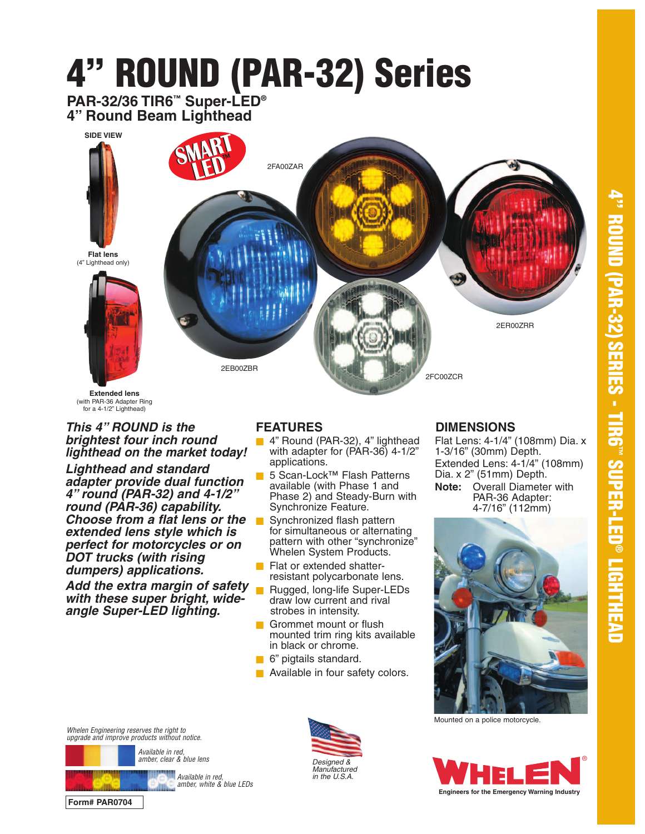

**Extended lens** (with PAR-36 Adapter Ring for a 4-1/2" Lighthead)

#### **This 4" ROUND is the brightest four inch round lighthead on the market today!**

**Lighthead and standard adapter provide dual function 4" round (PAR-32) and 4-1/2" round (PAR-36) capability. Choose from a flat lens or the extended lens style which is perfect for motorcycles or on DOT trucks (with rising dumpers) applications.**

**Add the extra margin of safety with these super bright, wideangle Super-LED lighting.**

## **FEATURES**

- 4" Round (PAR-32), 4" lighthead with adapter for (PAR-36) 4-1/2" applications.
- 5 Scan-Lock™ Flash Patterns available (with Phase 1 and Phase 2) and Steady-Burn with Synchronize Feature.
- Synchronized flash pattern for simultaneous or alternating pattern with other "synchronize" Whelen System Products.
- Flat or extended shatterresistant polycarbonate lens.
- Rugged, long-life Super-LEDs draw low current and rival strobes in intensity.
- Grommet mount or flush mounted trim ring kits available in black or chrome.
- 6" pigtails standard.
- Available in four safety colors.

# **DIMENSIONS**

Flat Lens: 4-1/4" (108mm) Dia. x 1-3/16" (30mm) Depth. Extended Lens: 4-1/4" (108mm) Dia. x 2" (51mm) Depth. **Note:** Overall Diameter with PAR-36 Adapter: 4-7/16" (112mm)



Mounted on a police motorcycle.



Whelen Engineering reserves the right to upgrade and improve products without notice.



**Form# PAR0704**

Available in red amber, white & blue LEDs